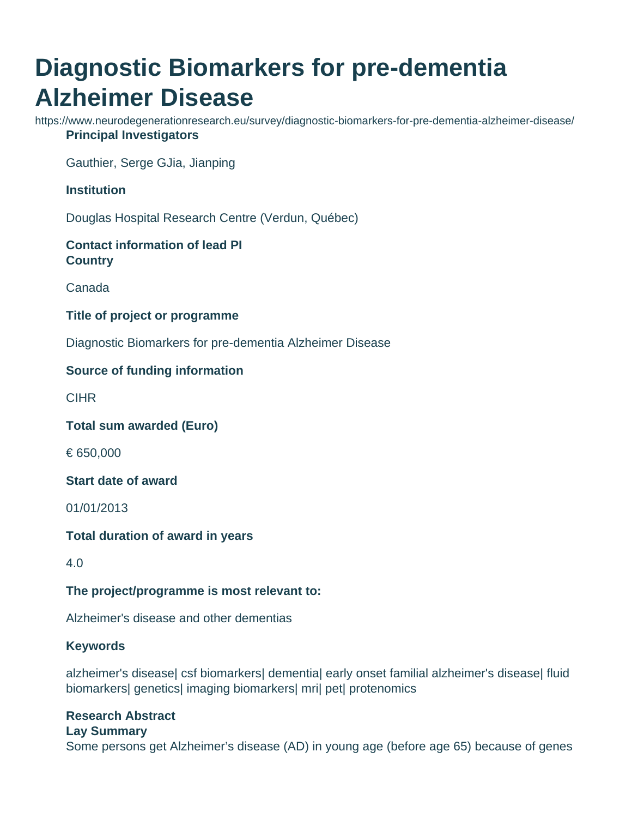# **Diagnostic Biomarkers for pre-dementia Alzheimer Disease**

https://www.neurodegenerationresearch.eu/survey/diagnostic-biomarkers-for-pre-dementia-alzheimer-disease/ **Principal Investigators**

Gauthier, Serge GJia, Jianping

#### **Institution**

Douglas Hospital Research Centre (Verdun, Québec)

## **Contact information of lead PI Country**

Canada

#### **Title of project or programme**

Diagnostic Biomarkers for pre-dementia Alzheimer Disease

### **Source of funding information**

**CIHR** 

**Total sum awarded (Euro)**

€ 650,000

**Start date of award**

01/01/2013

**Total duration of award in years**

4.0

#### **The project/programme is most relevant to:**

Alzheimer's disease and other dementias

#### **Keywords**

alzheimer's disease| csf biomarkers| dementia| early onset familial alzheimer's disease| fluid biomarkers| genetics| imaging biomarkers| mri| pet| protenomics

# **Research Abstract**

#### **Lay Summary**

Some persons get Alzheimer's disease (AD) in young age (before age 65) because of genes